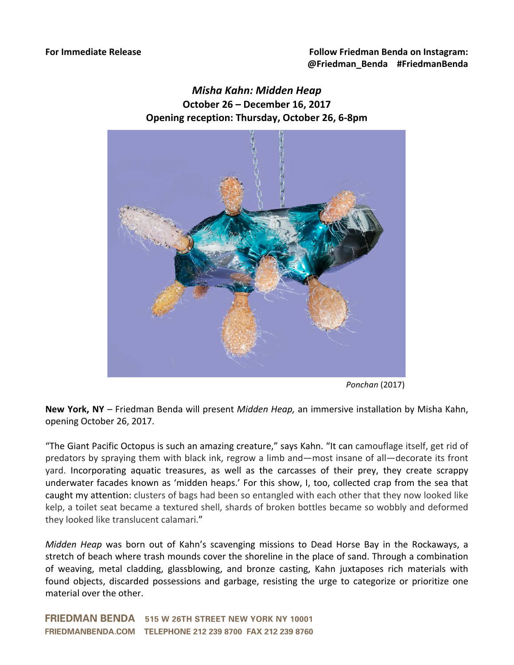## *Misha Kahn: Midden Heap* **October 26 – December 16, 2017 Opening reception: Thursday, October 26, 6-8pm**



*Ponchan* (2017)

**New York, NY** – Friedman Benda will present *Midden Heap*, an immersive installation by Misha Kahn, opening October 26, 2017.

"The Giant Pacific Octopus is such an amazing creature," says Kahn. "It can camouflage itself, get rid of predators by spraying them with black ink, regrow a limb and—most insane of all—decorate its front yard. Incorporating aquatic treasures, as well as the carcasses of their prey, they create scrappy underwater facades known as 'midden heaps.' For this show, I, too, collected crap from the sea that caught my attention: clusters of bags had been so entangled with each other that they now looked like kelp, a toilet seat became a textured shell, shards of broken bottles became so wobbly and deformed they looked like translucent calamari."

*Midden* Heap was born out of Kahn's scavenging missions to Dead Horse Bay in the Rockaways, a stretch of beach where trash mounds cover the shoreline in the place of sand. Through a combination of weaving, metal cladding, glassblowing, and bronze casting, Kahn juxtaposes rich materials with found objects, discarded possessions and garbage, resisting the urge to categorize or prioritize one material over the other.